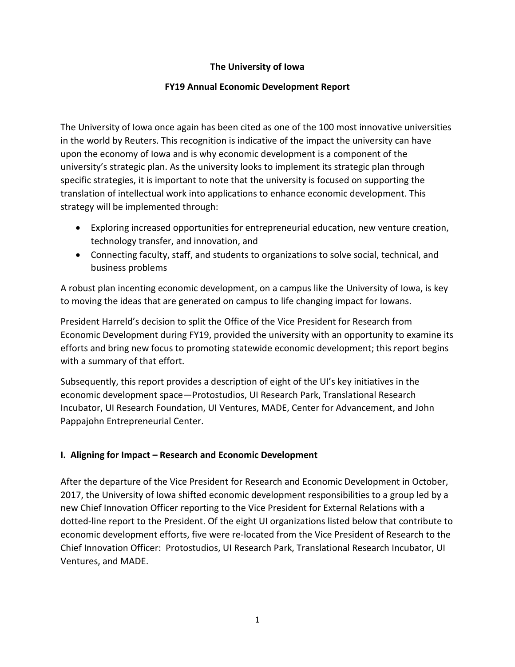### **The University of Iowa**

#### **FY19 Annual Economic Development Report**

The University of Iowa once again has been cited as one of the 100 most innovative universities in the world by Reuters. This recognition is indicative of the impact the university can have upon the economy of Iowa and is why economic development is a component of the university's strategic plan. As the university looks to implement its strategic plan through specific strategies, it is important to note that the university is focused on supporting the translation of intellectual work into applications to enhance economic development. This strategy will be implemented through:

- Exploring increased opportunities for entrepreneurial education, new venture creation, technology transfer, and innovation, and
- Connecting faculty, staff, and students to organizations to solve social, technical, and business problems

A robust plan incenting economic development, on a campus like the University of Iowa, is key to moving the ideas that are generated on campus to life changing impact for Iowans.

President Harreld's decision to split the Office of the Vice President for Research from Economic Development during FY19, provided the university with an opportunity to examine its efforts and bring new focus to promoting statewide economic development; this report begins with a summary of that effort.

Subsequently, this report provides a description of eight of the UI's key initiatives in the economic development space—Protostudios, UI Research Park, Translational Research Incubator, UI Research Foundation, UI Ventures, MADE, Center for Advancement, and John Pappajohn Entrepreneurial Center.

#### **I. Aligning for Impact – Research and Economic Development**

After the departure of the Vice President for Research and Economic Development in October, 2017, the University of Iowa shifted economic development responsibilities to a group led by a new Chief Innovation Officer reporting to the Vice President for External Relations with a dotted-line report to the President. Of the eight UI organizations listed below that contribute to economic development efforts, five were re-located from the Vice President of Research to the Chief Innovation Officer: Protostudios, UI Research Park, Translational Research Incubator, UI Ventures, and MADE.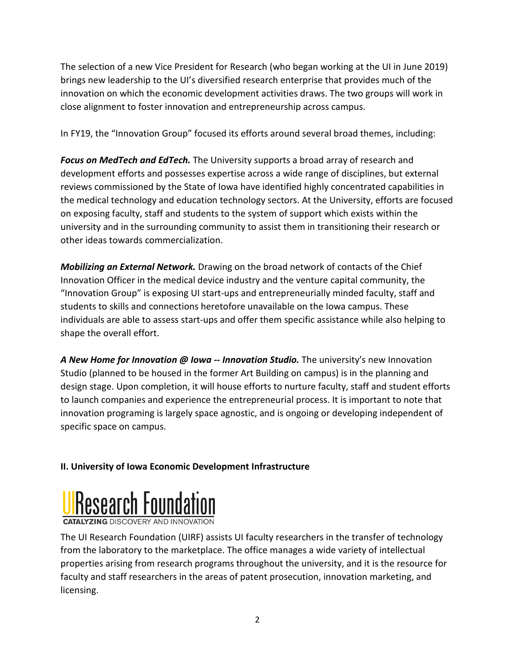The selection of a new Vice President for Research (who began working at the UI in June 2019) brings new leadership to the UI's diversified research enterprise that provides much of the innovation on which the economic development activities draws. The two groups will work in close alignment to foster innovation and entrepreneurship across campus.

In FY19, the "Innovation Group" focused its efforts around several broad themes, including:

*Focus on MedTech and EdTech.* The University supports a broad array of research and development efforts and possesses expertise across a wide range of disciplines, but external reviews commissioned by the State of Iowa have identified highly concentrated capabilities in the medical technology and education technology sectors. At the University, efforts are focused on exposing faculty, staff and students to the system of support which exists within the university and in the surrounding community to assist them in transitioning their research or other ideas towards commercialization.

*Mobilizing an External Network.* Drawing on the broad network of contacts of the Chief Innovation Officer in the medical device industry and the venture capital community, the "Innovation Group" is exposing UI start-ups and entrepreneurially minded faculty, staff and students to skills and connections heretofore unavailable on the Iowa campus. These individuals are able to assess start-ups and offer them specific assistance while also helping to shape the overall effort.

*A New Home for Innovation @ Iowa -- Innovation Studio.* The university's new Innovation Studio (planned to be housed in the former Art Building on campus) is in the planning and design stage. Upon completion, it will house efforts to nurture faculty, staff and student efforts to launch companies and experience the entrepreneurial process. It is important to note that innovation programing is largely space agnostic, and is ongoing or developing independent of specific space on campus.

# **II. University of Iowa Economic Development Infrastructure**



**CATALYZING DISCOVERY AND INNOVATION** 

The UI Research Foundation (UIRF) assists UI faculty researchers in the transfer of technology from the laboratory to the marketplace. The office manages a wide variety of intellectual properties arising from research programs throughout the university, and it is the resource for faculty and staff researchers in the areas of patent prosecution, innovation marketing, and licensing.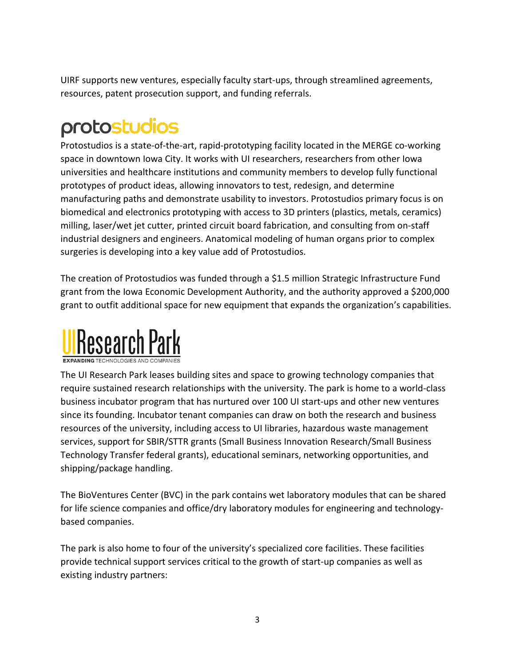UIRF supports new ventures, especially faculty start-ups, through streamlined agreements, resources, patent prosecution support, and funding referrals.

# protostudios

Protostudios is a state-of-the-art, rapid-prototyping facility located in the MERGE co-working space in downtown Iowa City. It works with UI researchers, researchers from other Iowa universities and healthcare institutions and community members to develop fully functional prototypes of product ideas, allowing innovators to test, redesign, and determine manufacturing paths and demonstrate usability to investors. Protostudios primary focus is on biomedical and electronics prototyping with access to 3D printers (plastics, metals, ceramics) milling, laser/wet jet cutter, printed circuit board fabrication, and consulting from on-staff industrial designers and engineers. Anatomical modeling of human organs prior to complex surgeries is developing into a key value add of Protostudios.

The creation of Protostudios was funded through a \$1.5 million Strategic Infrastructure Fund grant from the Iowa Economic Development Authority, and the authority approved a \$200,000 grant to outfit additional space for new equipment that expands the organization's capabilities.



**EXPANDING TECHNOLOGIES AND COMPANIES** 

The UI Research Park leases building sites and space to growing technology companies that require sustained research relationships with the university. The park is home to a world-class business incubator program that has nurtured over 100 UI start-ups and other new ventures since its founding. Incubator tenant companies can draw on both the research and business resources of the university, including access to UI libraries, hazardous waste management services, support for SBIR/STTR grants (Small Business Innovation Research/Small Business Technology Transfer federal grants), educational seminars, networking opportunities, and shipping/package handling.

The BioVentures Center (BVC) in the park contains wet laboratory modules that can be shared for life science companies and office/dry laboratory modules for engineering and technologybased companies.

The park is also home to four of the university's specialized core facilities. These facilities provide technical support services critical to the growth of start-up companies as well as existing industry partners: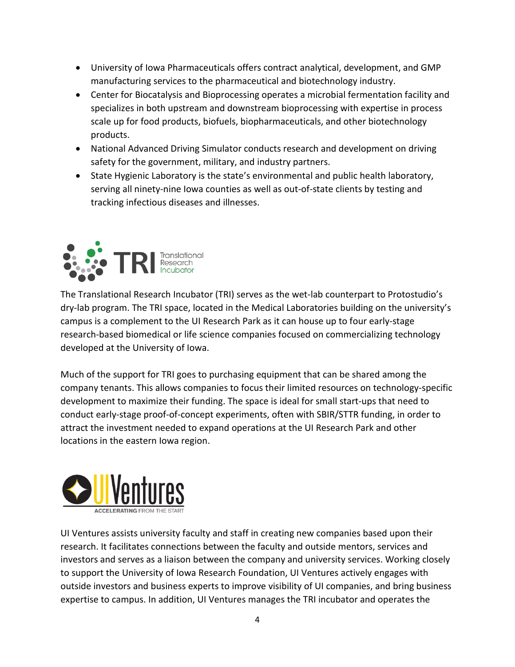- University of Iowa Pharmaceuticals offers contract analytical, development, and GMP manufacturing services to the pharmaceutical and biotechnology industry.
- Center for Biocatalysis and Bioprocessing operates a microbial fermentation facility and specializes in both upstream and downstream bioprocessing with expertise in process scale up for food products, biofuels, biopharmaceuticals, and other biotechnology products.
- National Advanced Driving Simulator conducts research and development on driving safety for the government, military, and industry partners.
- State Hygienic Laboratory is the state's environmental and public health laboratory, serving all ninety-nine Iowa counties as well as out-of-state clients by testing and tracking infectious diseases and illnesses.



The Translational Research Incubator (TRI) serves as the wet-lab counterpart to Protostudio's dry-lab program. The TRI space, located in the Medical Laboratories building on the university's campus is a complement to the UI Research Park as it can house up to four early-stage research-based biomedical or life science companies focused on commercializing technology developed at the University of Iowa.

Much of the support for TRI goes to purchasing equipment that can be shared among the company tenants. This allows companies to focus their limited resources on technology-specific development to maximize their funding. The space is ideal for small start-ups that need to conduct early-stage proof-of-concept experiments, often with SBIR/STTR funding, in order to attract the investment needed to expand operations at the UI Research Park and other locations in the eastern Iowa region.



UI Ventures assists university faculty and staff in creating new companies based upon their research. It facilitates connections between the faculty and outside mentors, services and investors and serves as a liaison between the company and university services. Working closely to support the University of Iowa Research Foundation, UI Ventures actively engages with outside investors and business experts to improve visibility of UI companies, and bring business expertise to campus. In addition, UI Ventures manages the TRI incubator and operates the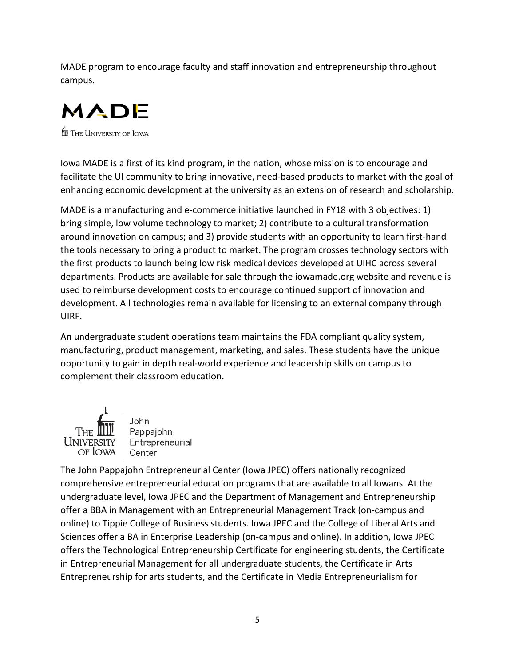MADE program to encourage faculty and staff innovation and entrepreneurship throughout campus.



**for** The University of Iowa

Iowa MADE is a first of its kind program, in the nation, whose mission is to encourage and facilitate the UI community to bring innovative, need-based products to market with the goal of enhancing economic development at the university as an extension of research and scholarship.

MADE is a manufacturing and e-commerce initiative launched in FY18 with 3 objectives: 1) bring simple, low volume technology to market; 2) contribute to a cultural transformation around innovation on campus; and 3) provide students with an opportunity to learn first-hand the tools necessary to bring a product to market. The program crosses technology sectors with the first products to launch being low risk medical devices developed at UIHC across several departments. Products are available for sale through the iowamade.org website and revenue is used to reimburse development costs to encourage continued support of innovation and development. All technologies remain available for licensing to an external company through UIRF.

An undergraduate student operations team maintains the FDA compliant quality system, manufacturing, product management, marketing, and sales. These students have the unique opportunity to gain in depth real-world experience and leadership skills on campus to complement their classroom education.



John Pappajohn Entrepreneurial Center

The John Pappajohn Entrepreneurial Center (Iowa JPEC) offers nationally recognized comprehensive entrepreneurial education programs that are available to all Iowans. At the undergraduate level, Iowa JPEC and the Department of Management and Entrepreneurship offer a BBA in Management with an Entrepreneurial Management Track (on-campus and online) to Tippie College of Business students. Iowa JPEC and the College of Liberal Arts and Sciences offer a BA in Enterprise Leadership (on-campus and online). In addition, Iowa JPEC offers the Technological Entrepreneurship Certificate for engineering students, the Certificate in Entrepreneurial Management for all undergraduate students, the Certificate in Arts Entrepreneurship for arts students, and the Certificate in Media Entrepreneurialism for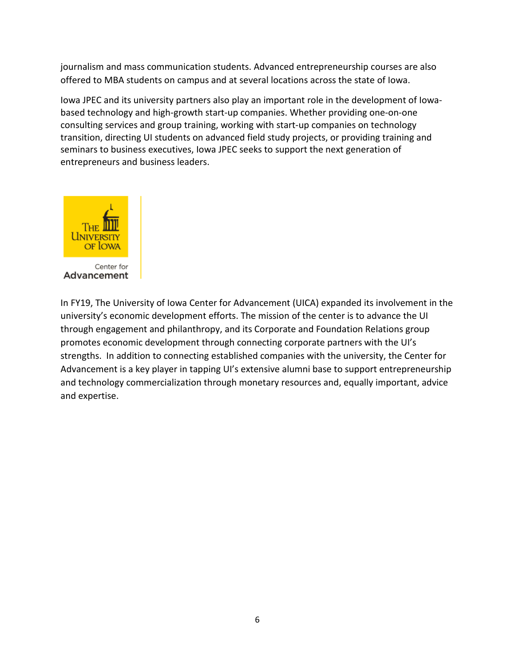journalism and mass communication students. Advanced entrepreneurship courses are also offered to MBA students on campus and at several locations across the state of Iowa.

Iowa JPEC and its university partners also play an important role in the development of Iowabased technology and high-growth start-up companies. Whether providing one-on-one consulting services and group training, working with start-up companies on technology transition, directing UI students on advanced field study projects, or providing training and seminars to business executives, Iowa JPEC seeks to support the next generation of entrepreneurs and business leaders.



In FY19, The University of Iowa Center for Advancement (UICA) expanded its involvement in the university's economic development efforts. The mission of the center is to advance the UI through engagement and philanthropy, and its Corporate and Foundation Relations group promotes economic development through connecting corporate partners with the UI's strengths. In addition to connecting established companies with the university, the Center for Advancement is a key player in tapping UI's extensive alumni base to support entrepreneurship and technology commercialization through monetary resources and, equally important, advice and expertise.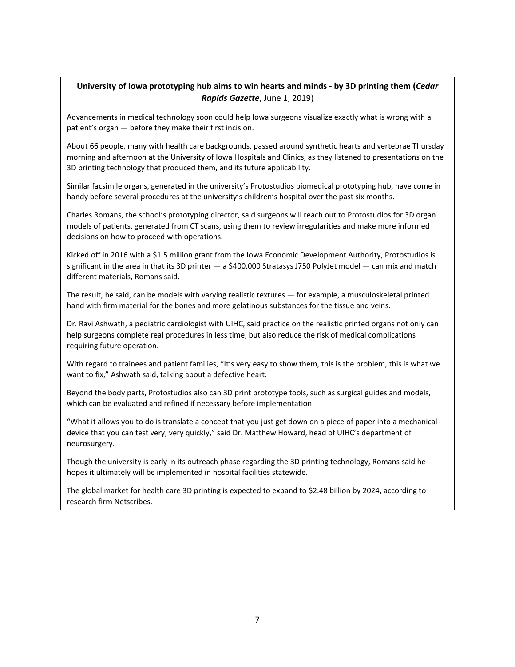#### **University of Iowa prototyping hub aims to win hearts and minds - by 3D printing them (***Cedar Rapids Gazette*, June 1, 2019)

Advancements in medical technology soon could help Iowa surgeons visualize exactly what is wrong with a patient's organ — before they make their first incision.

About 66 people, many with health care backgrounds, passed around synthetic hearts and vertebrae Thursday morning and afternoon at the University of Iowa Hospitals and Clinics, as they listened to presentations on the 3D printing technology that produced them, and its future applicability.

Similar facsimile organs, generated in the university's Protostudios biomedical prototyping hub, have come in handy before several procedures at the university's children's hospital over the past six months.

Charles Romans, the school's prototyping director, said surgeons will reach out to Protostudios for 3D organ models of patients, generated from CT scans, using them to review irregularities and make more informed decisions on how to proceed with operations.

Kicked off in 2016 with a \$1.5 million grant from the Iowa Economic Development Authority, Protostudios is significant in the area in that its 3D printer — a \$400,000 Stratasys J750 PolyJet model — can mix and match different materials, Romans said.

The result, he said, can be models with varying realistic textures — for example, a musculoskeletal printed hand with firm material for the bones and more gelatinous substances for the tissue and veins.

Dr. Ravi Ashwath, a pediatric cardiologist with UIHC, said practice on the realistic printed organs not only can help surgeons complete real procedures in less time, but also reduce the risk of medical complications requiring future operation.

With regard to trainees and patient families, "It's very easy to show them, this is the problem, this is what we want to fix," Ashwath said, talking about a defective heart.

Beyond the body parts, Protostudios also can 3D print prototype tools, such as surgical guides and models, which can be evaluated and refined if necessary before implementation.

"What it allows you to do is translate a concept that you just get down on a piece of paper into a mechanical device that you can test very, very quickly," said Dr. Matthew Howard, head of UIHC's department of neurosurgery.

Though the university is early in its outreach phase regarding the 3D printing technology, Romans said he hopes it ultimately will be implemented in hospital facilities statewide.

The global market for health care 3D printing is expected to expand to \$2.48 billion by 2024, according to research firm Netscribes.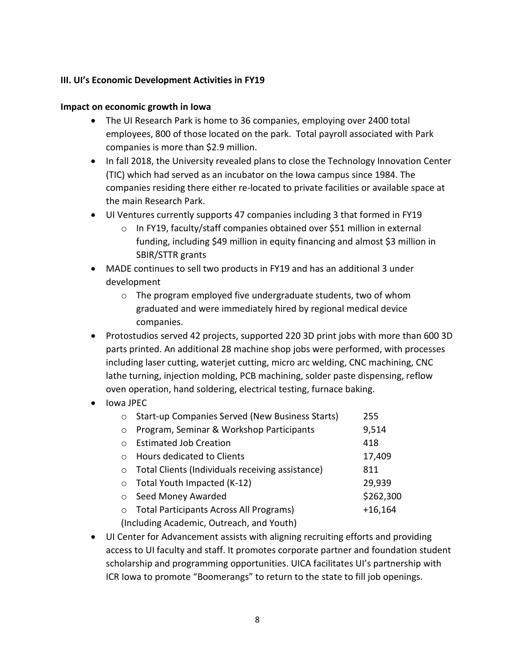#### **III. UI's Economic Development Activities in FY19**

#### **Impact on economic growth in Iowa**

- The UI Research Park is home to 36 companies, employing over 2400 total employees, 800 of those located on the park. Total payroll associated with Park companies is more than \$2.9 million.
- In fall 2018, the University revealed plans to close the Technology Innovation Center (TIC) which had served as an incubator on the Iowa campus since 1984. The companies residing there either re-located to private facilities or available space at the main Research Park.
- UI Ventures currently supports 47 companies including 3 that formed in FY19
	- $\circ$  In FY19, faculty/staff companies obtained over \$51 million in external funding, including \$49 million in equity financing and almost \$3 million in SBIR/STTR grants
- MADE continues to sell two products in FY19 and has an additional 3 under development
	- o The program employed five undergraduate students, two of whom graduated and were immediately hired by regional medical device companies.
- Protostudios served 42 projects, supported 220 3D print jobs with more than 600 3D parts printed. An additional 28 machine shop jobs were performed, with processes including laser cutting, waterjet cutting, micro arc welding, CNC machining, CNC lathe turning, injection molding, PCB machining, solder paste dispensing, reflow oven operation, hand soldering, electrical testing, furnace baking.
- Iowa JPEC

| $\circ$                                   | Start-up Companies Served (New Business Starts)  | 255       |  |  |  |
|-------------------------------------------|--------------------------------------------------|-----------|--|--|--|
|                                           |                                                  |           |  |  |  |
| $\circ$                                   | Program, Seminar & Workshop Participants         | 9,514     |  |  |  |
| $\bigcap$                                 | <b>Estimated Job Creation</b>                    | 418       |  |  |  |
| $\bigcap$                                 | <b>Hours dedicated to Clients</b>                | 17,409    |  |  |  |
| $\circ$                                   | Total Clients (Individuals receiving assistance) | 811       |  |  |  |
| $\circ$                                   | Total Youth Impacted (K-12)                      | 29,939    |  |  |  |
| $\circ$                                   | Seed Money Awarded                               | \$262,300 |  |  |  |
| $\circ$                                   | <b>Total Participants Across All Programs)</b>   | $+16,164$ |  |  |  |
| (Including Academic, Outreach, and Youth) |                                                  |           |  |  |  |

• UI Center for Advancement assists with aligning recruiting efforts and providing access to UI faculty and staff. It promotes corporate partner and foundation student scholarship and programming opportunities. UICA facilitates UI's partnership with ICR Iowa to promote "Boomerangs" to return to the state to fill job openings.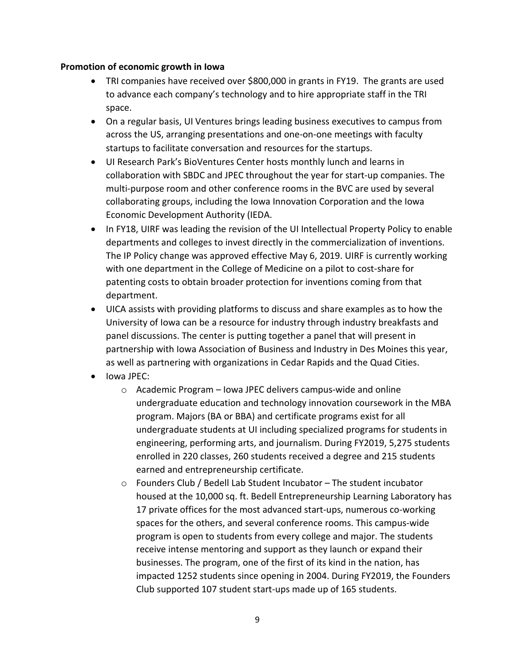#### **Promotion of economic growth in Iowa**

- TRI companies have received over \$800,000 in grants in FY19. The grants are used to advance each company's technology and to hire appropriate staff in the TRI space.
- On a regular basis, UI Ventures brings leading business executives to campus from across the US, arranging presentations and one-on-one meetings with faculty startups to facilitate conversation and resources for the startups.
- UI Research Park's BioVentures Center hosts monthly lunch and learns in collaboration with SBDC and JPEC throughout the year for start-up companies. The multi-purpose room and other conference rooms in the BVC are used by several collaborating groups, including the Iowa Innovation Corporation and the Iowa Economic Development Authority (IEDA.
- In FY18, UIRF was leading the revision of the UI Intellectual Property Policy to enable departments and colleges to invest directly in the commercialization of inventions. The IP Policy change was approved effective May 6, 2019. UIRF is currently working with one department in the College of Medicine on a pilot to cost-share for patenting costs to obtain broader protection for inventions coming from that department.
- UICA assists with providing platforms to discuss and share examples as to how the University of Iowa can be a resource for industry through industry breakfasts and panel discussions. The center is putting together a panel that will present in partnership with Iowa Association of Business and Industry in Des Moines this year, as well as partnering with organizations in Cedar Rapids and the Quad Cities.
- Iowa JPEC:
	- o Academic Program Iowa JPEC delivers campus-wide and online undergraduate education and technology innovation coursework in the MBA program. Majors (BA or BBA) and certificate programs exist for all undergraduate students at UI including specialized programs for students in engineering, performing arts, and journalism. During FY2019, 5,275 students enrolled in 220 classes, 260 students received a degree and 215 students earned and entrepreneurship certificate.
	- o Founders Club / Bedell Lab Student Incubator The student incubator housed at the 10,000 sq. ft. Bedell Entrepreneurship Learning Laboratory has 17 private offices for the most advanced start-ups, numerous co-working spaces for the others, and several conference rooms. This campus-wide program is open to students from every college and major. The students receive intense mentoring and support as they launch or expand their businesses. The program, one of the first of its kind in the nation, has impacted 1252 students since opening in 2004. During FY2019, the Founders Club supported 107 student start-ups made up of 165 students.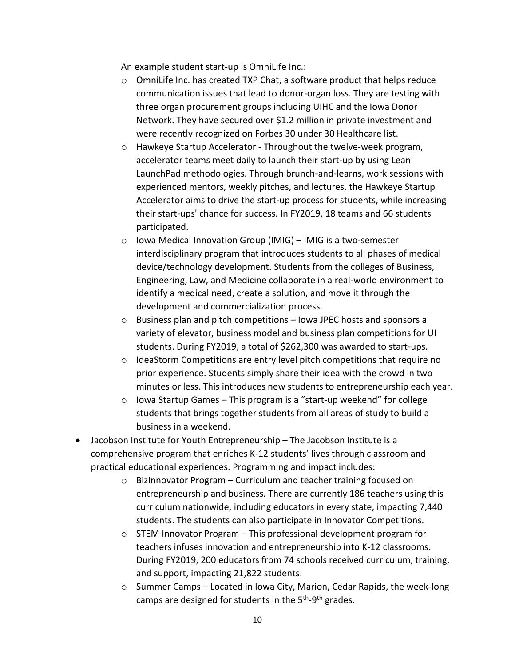An example student start-up is OmniLIfe Inc.:

- $\circ$  OmniLife Inc. has created TXP Chat, a software product that helps reduce communication issues that lead to donor-organ loss. They are testing with three organ procurement groups including UIHC and the Iowa Donor Network. They have secured over \$1.2 million in private investment and were recently recognized on Forbes 30 under 30 Healthcare list.
- o Hawkeye Startup Accelerator Throughout the twelve-week program, accelerator teams meet daily to launch their start-up by using Lean LaunchPad methodologies. Through brunch-and-learns, work sessions with experienced mentors, weekly pitches, and lectures, the Hawkeye Startup Accelerator aims to drive the start-up process for students, while increasing their start-ups' chance for success. In FY2019, 18 teams and 66 students participated.
- o Iowa Medical Innovation Group (IMIG) IMIG is a two-semester interdisciplinary program that introduces students to all phases of medical device/technology development. Students from the colleges of Business, Engineering, Law, and Medicine collaborate in a real-world environment to identify a medical need, create a solution, and move it through the development and commercialization process.
- o Business plan and pitch competitions Iowa JPEC hosts and sponsors a variety of elevator, business model and business plan competitions for UI students. During FY2019, a total of \$262,300 was awarded to start-ups.
- $\circ$  IdeaStorm Competitions are entry level pitch competitions that require no prior experience. Students simply share their idea with the crowd in two minutes or less. This introduces new students to entrepreneurship each year.
- o Iowa Startup Games This program is a "start-up weekend" for college students that brings together students from all areas of study to build a business in a weekend.
- Jacobson Institute for Youth Entrepreneurship The Jacobson Institute is a comprehensive program that enriches K-12 students' lives through classroom and practical educational experiences. Programming and impact includes:
	- o BizInnovator Program Curriculum and teacher training focused on entrepreneurship and business. There are currently 186 teachers using this curriculum nationwide, including educators in every state, impacting 7,440 students. The students can also participate in Innovator Competitions.
	- o STEM Innovator Program This professional development program for teachers infuses innovation and entrepreneurship into K-12 classrooms. During FY2019, 200 educators from 74 schools received curriculum, training, and support, impacting 21,822 students.
	- o Summer Camps Located in Iowa City, Marion, Cedar Rapids, the week-long camps are designed for students in the 5<sup>th</sup>-9<sup>th</sup> grades.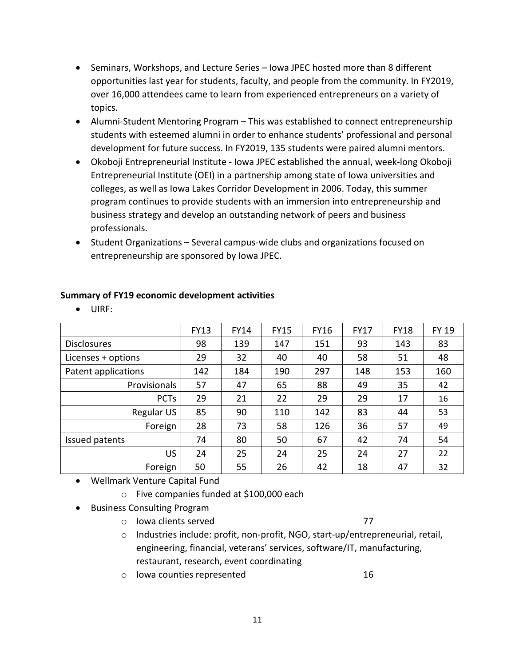- Seminars, Workshops, and Lecture Series Iowa JPEC hosted more than 8 different opportunities last year for students, faculty, and people from the community. In FY2019, over 16,000 attendees came to learn from experienced entrepreneurs on a variety of topics.
- Alumni-Student Mentoring Program This was established to connect entrepreneurship students with esteemed alumni in order to enhance students' professional and personal development for future success. In FY2019, 135 students were paired alumni mentors.
- Okoboji Entrepreneurial Institute Iowa JPEC established the annual, week-long Okoboji Entrepreneurial Institute (OEI) in a partnership among state of Iowa universities and colleges, as well as Iowa Lakes Corridor Development in 2006. Today, this summer program continues to provide students with an immersion into entrepreneurship and business strategy and develop an outstanding network of peers and business professionals.
- Student Organizations Several campus-wide clubs and organizations focused on entrepreneurship are sponsored by Iowa JPEC.

|                     | <b>FY13</b> | <b>FY14</b> | <b>FY15</b> | <b>FY16</b> | <b>FY17</b> | <b>FY18</b> | <b>FY 19</b> |
|---------------------|-------------|-------------|-------------|-------------|-------------|-------------|--------------|
| <b>Disclosures</b>  | 98          | 139         | 147         | 151         | 93          | 143         | 83           |
| Licenses + options  | 29          | 32          | 40          | 40          | 58          | 51          | 48           |
| Patent applications | 142         | 184         | 190         | 297         | 148         | 153         | 160          |
| Provisionals        | 57          | 47          | 65          | 88          | 49          | 35          | 42           |
| <b>PCTs</b>         | 29          | 21          | 22          | 29          | 29          | 17          | 16           |
| Regular US          | 85          | 90          | 110         | 142         | 83          | 44          | 53           |
| Foreign             | 28          | 73          | 58          | 126         | 36          | 57          | 49           |
| Issued patents      | 74          | 80          | 50          | 67          | 42          | 74          | 54           |
| US.                 | 24          | 25          | 24          | 25          | 24          | 27          | 22           |
| Foreign             | 50          | 55          | 26          | 42          | 18          | 47          | 32           |

# **Summary of FY19 economic development activities**

• UIRF:

- Wellmark Venture Capital Fund
	- o Five companies funded at \$100,000 each
- Business Consulting Program
	- o Iowa clients served 77
	- $\circ$  Industries include: profit, non-profit, NGO, start-up/entrepreneurial, retail, engineering, financial, veterans' services, software/IT, manufacturing, restaurant, research, event coordinating
	- o Iowa counties represented 16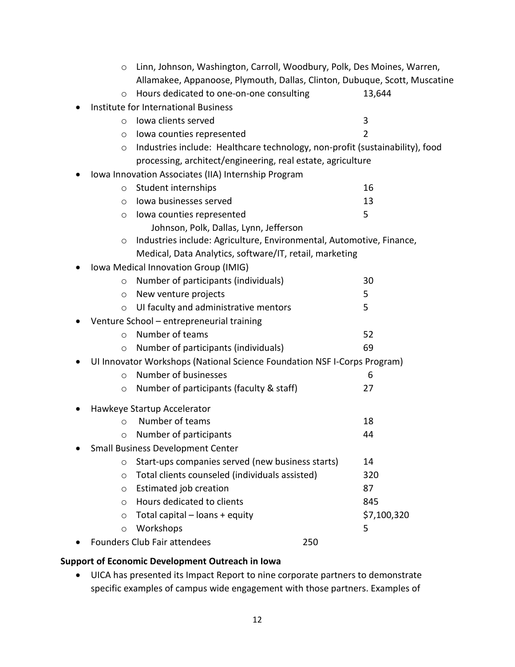|                                                                                 | $\circ$ | Linn, Johnson, Washington, Carroll, Woodbury, Polk, Des Moines, Warren,      |     |                |  |
|---------------------------------------------------------------------------------|---------|------------------------------------------------------------------------------|-----|----------------|--|
|                                                                                 |         | Allamakee, Appanoose, Plymouth, Dallas, Clinton, Dubuque, Scott, Muscatine   |     |                |  |
|                                                                                 | $\circ$ | Hours dedicated to one-on-one consulting                                     |     | 13,644         |  |
|                                                                                 |         | Institute for International Business                                         |     |                |  |
|                                                                                 | $\circ$ | Iowa clients served                                                          |     | 3              |  |
|                                                                                 | O       | lowa counties represented                                                    |     | $\overline{2}$ |  |
|                                                                                 | $\circ$ | Industries include: Healthcare technology, non-profit (sustainability), food |     |                |  |
|                                                                                 |         | processing, architect/engineering, real estate, agriculture                  |     |                |  |
|                                                                                 |         | Iowa Innovation Associates (IIA) Internship Program                          |     |                |  |
|                                                                                 | $\circ$ | Student internships                                                          |     | 16             |  |
|                                                                                 | $\circ$ | lowa businesses served                                                       |     | 13             |  |
|                                                                                 | $\circ$ | lowa counties represented                                                    |     | 5              |  |
|                                                                                 |         | Johnson, Polk, Dallas, Lynn, Jefferson                                       |     |                |  |
| Industries include: Agriculture, Environmental, Automotive, Finance,<br>$\circ$ |         |                                                                              |     |                |  |
|                                                                                 |         | Medical, Data Analytics, software/IT, retail, marketing                      |     |                |  |
|                                                                                 |         | Iowa Medical Innovation Group (IMIG)                                         |     |                |  |
|                                                                                 | $\circ$ | Number of participants (individuals)                                         |     | 30             |  |
|                                                                                 | $\circ$ | New venture projects                                                         |     | 5              |  |
|                                                                                 | $\circ$ | UI faculty and administrative mentors                                        |     | 5              |  |
| Venture School - entrepreneurial training                                       |         |                                                                              |     |                |  |
|                                                                                 | $\circ$ | Number of teams                                                              |     | 52             |  |
|                                                                                 | $\circ$ | Number of participants (individuals)                                         |     | 69             |  |
|                                                                                 |         | UI Innovator Workshops (National Science Foundation NSF I-Corps Program)     |     |                |  |
|                                                                                 | $\circ$ | Number of businesses                                                         |     | 6              |  |
|                                                                                 | $\circ$ | Number of participants (faculty & staff)                                     |     | 27             |  |
|                                                                                 |         | Hawkeye Startup Accelerator                                                  |     |                |  |
|                                                                                 | $\circ$ | Number of teams                                                              |     | 18             |  |
|                                                                                 | $\circ$ | Number of participants                                                       |     | 44             |  |
|                                                                                 |         | <b>Small Business Development Center</b>                                     |     |                |  |
|                                                                                 | $\circ$ | Start-ups companies served (new business starts)                             |     | 14             |  |
|                                                                                 | $\circ$ | Total clients counseled (individuals assisted)                               |     | 320            |  |
|                                                                                 | $\circ$ | Estimated job creation                                                       |     | 87             |  |
|                                                                                 | $\circ$ | Hours dedicated to clients                                                   |     | 845            |  |
|                                                                                 | $\circ$ | Total capital - loans + equity                                               |     | \$7,100,320    |  |
|                                                                                 | $\circ$ | Workshops                                                                    |     | 5              |  |
|                                                                                 |         | Founders Club Fair attendees                                                 | 250 |                |  |

# **Support of Economic Development Outreach in Iowa**

• UICA has presented its Impact Report to nine corporate partners to demonstrate specific examples of campus wide engagement with those partners. Examples of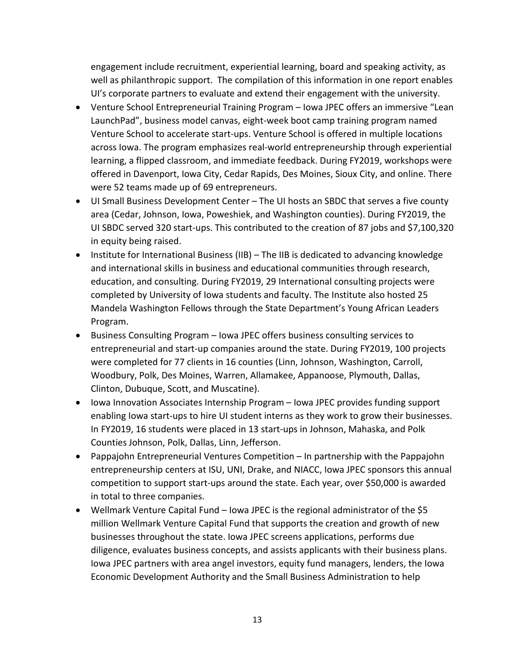engagement include recruitment, experiential learning, board and speaking activity, as well as philanthropic support. The compilation of this information in one report enables UI's corporate partners to evaluate and extend their engagement with the university.

- Venture School Entrepreneurial Training Program Iowa JPEC offers an immersive "Lean LaunchPad", business model canvas, eight-week boot camp training program named Venture School to accelerate start-ups. Venture School is offered in multiple locations across Iowa. The program emphasizes real-world entrepreneurship through experiential learning, a flipped classroom, and immediate feedback. During FY2019, workshops were offered in Davenport, Iowa City, Cedar Rapids, Des Moines, Sioux City, and online. There were 52 teams made up of 69 entrepreneurs.
- UI Small Business Development Center The UI hosts an SBDC that serves a five county area (Cedar, Johnson, Iowa, Poweshiek, and Washington counties). During FY2019, the UI SBDC served 320 start-ups. This contributed to the creation of 87 jobs and \$7,100,320 in equity being raised.
- Institute for International Business (IIB) The IIB is dedicated to advancing knowledge and international skills in business and educational communities through research, education, and consulting. During FY2019, 29 International consulting projects were completed by University of Iowa students and faculty. The Institute also hosted 25 Mandela Washington Fellows through the State Department's Young African Leaders Program.
- Business Consulting Program Iowa JPEC offers business consulting services to entrepreneurial and start-up companies around the state. During FY2019, 100 projects were completed for 77 clients in 16 counties (Linn, Johnson, Washington, Carroll, Woodbury, Polk, Des Moines, Warren, Allamakee, Appanoose, Plymouth, Dallas, Clinton, Dubuque, Scott, and Muscatine).
- Iowa Innovation Associates Internship Program Iowa JPEC provides funding support enabling Iowa start-ups to hire UI student interns as they work to grow their businesses. In FY2019, 16 students were placed in 13 start-ups in Johnson, Mahaska, and Polk Counties Johnson, Polk, Dallas, Linn, Jefferson.
- Pappajohn Entrepreneurial Ventures Competition In partnership with the Pappajohn entrepreneurship centers at ISU, UNI, Drake, and NIACC, Iowa JPEC sponsors this annual competition to support start-ups around the state. Each year, over \$50,000 is awarded in total to three companies.
- Wellmark Venture Capital Fund Iowa JPEC is the regional administrator of the \$5 million Wellmark Venture Capital Fund that supports the creation and growth of new businesses throughout the state. Iowa JPEC screens applications, performs due diligence, evaluates business concepts, and assists applicants with their business plans. Iowa JPEC partners with area angel investors, equity fund managers, lenders, the Iowa Economic Development Authority and the Small Business Administration to help